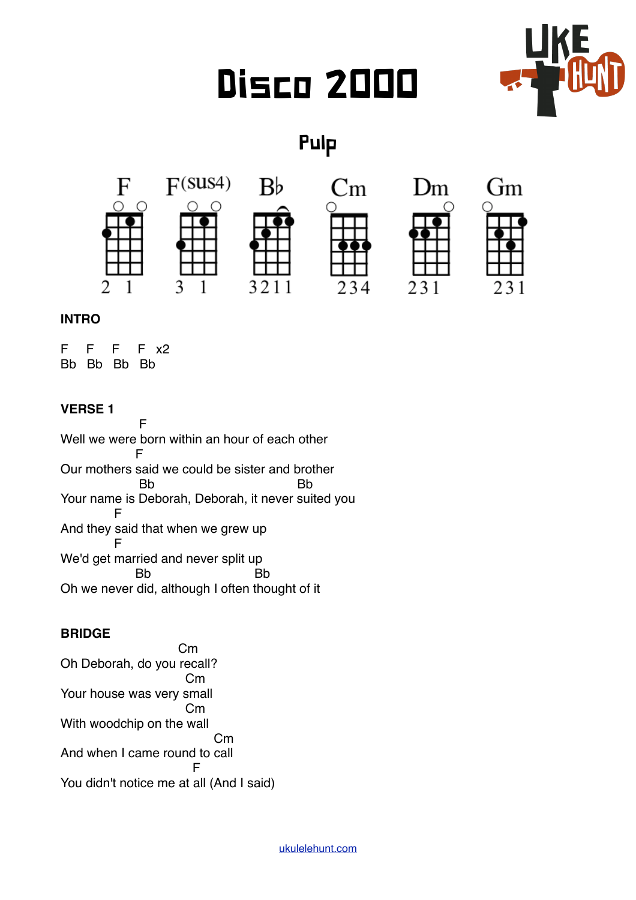# Disco 2000



Pulp



## **INTRO**

F F F F x2 Bb Bb Bb Bb

## **VERSE 1**

**Figure 1** Well we were born within an hour of each other Fig. 1. Sept. 1. F Our mothers said we could be sister and brother Bb Bb Your name is Deborah, Deborah, it never suited you F And they said that when we grew up F We'd get married and never split up Bb Bb Oh we never did, although I often thought of it

## **BRIDGE**

 Cm Oh Deborah, do you recall? Cm Your house was very small Cm With woodchip on the wall Cm And when I came round to call For the state of the F You didn't notice me at all (And I said)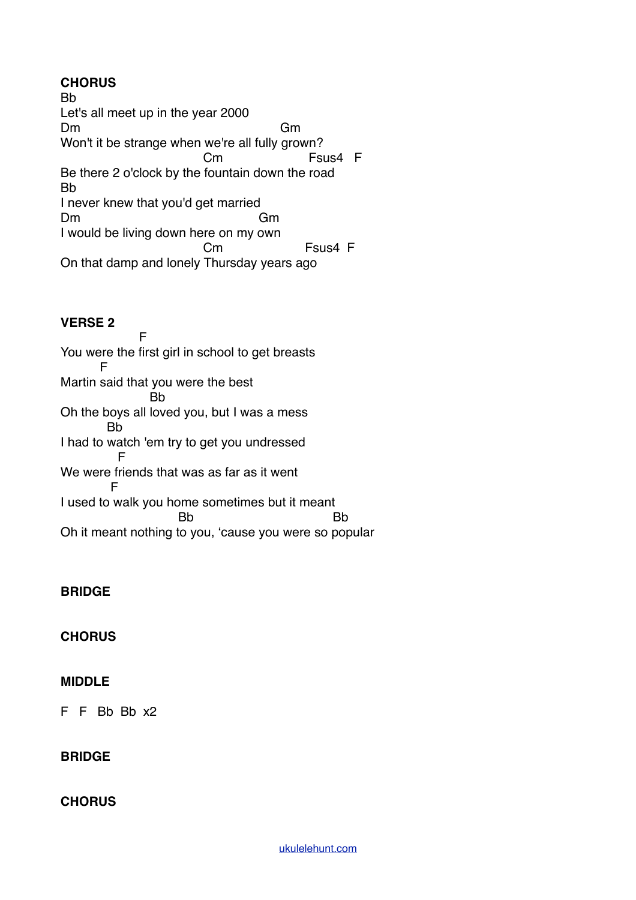## **CHORUS**

Bb Let's all meet up in the year 2000 Dm Gm Won't it be strange when we're all fully grown? Cm Fsus4 F Be there 2 o'clock by the fountain down the road Bb I never knew that you'd get married Dm Gm I would be living down here on my own Cm Fsus4 F On that damp and lonely Thursday years ago

#### **VERSE 2**

**Figure 1** You were the first girl in school to get breasts F Martin said that you were the best **B<sub>b</sub>** Oh the boys all loved you, but I was a mess Bb I had to watch 'em try to get you undressed Fig. 1. P We were friends that was as far as it went F I used to walk you home sometimes but it meant and the Bb and Bb and Bb and Bb and Bb and Bb and Bb and Bb and Bb and Bb and Bb and Bb and Bb and Bb and Bb and Bb and Bb and Bb and Bb and Bb and Bb and Bb and Bb and Bb and Bb and Bb and Bb and Bb and Bb and Bb and Bb a Oh it meant nothing to you, 'cause you were so popular

## **BRIDGE**

## **CHORUS**

#### **MIDDLE**

F F Bb Bb x2

## **BRIDGE**

#### **CHORUS**